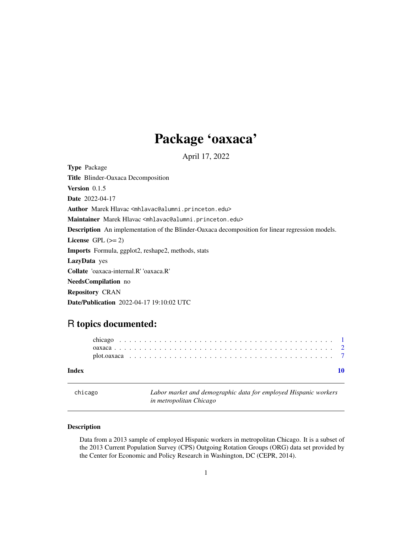# Package 'oaxaca'

April 17, 2022

<span id="page-0-0"></span>Type Package Title Blinder-Oaxaca Decomposition Version 0.1.5 Date 2022-04-17 Author Marek Hlavac <mhlavac@alumni.princeton.edu> Maintainer Marek Hlavac <mhlavac@alumni.princeton.edu> Description An implementation of the Blinder-Oaxaca decomposition for linear regression models. License GPL  $(>= 2)$ Imports Formula, ggplot2, reshape2, methods, stats LazyData yes Collate 'oaxaca-internal.R' 'oaxaca.R' NeedsCompilation no Repository CRAN Date/Publication 2022-04-17 19:10:02 UTC

## R topics documented:

| Index |  |  |  |  |  |  |  |  |  |  |  |  |  |  |  |  |  |  |  |  |
|-------|--|--|--|--|--|--|--|--|--|--|--|--|--|--|--|--|--|--|--|--|
|       |  |  |  |  |  |  |  |  |  |  |  |  |  |  |  |  |  |  |  |  |
|       |  |  |  |  |  |  |  |  |  |  |  |  |  |  |  |  |  |  |  |  |
|       |  |  |  |  |  |  |  |  |  |  |  |  |  |  |  |  |  |  |  |  |

|  | chicago |
|--|---------|
|  |         |

Labor market and demographic data for employed Hispanic workers *in metropolitan Chicago*

#### Description

Data from a 2013 sample of employed Hispanic workers in metropolitan Chicago. It is a subset of the 2013 Current Population Survey (CPS) Outgoing Rotation Groups (ORG) data set provided by the Center for Economic and Policy Research in Washington, DC (CEPR, 2014).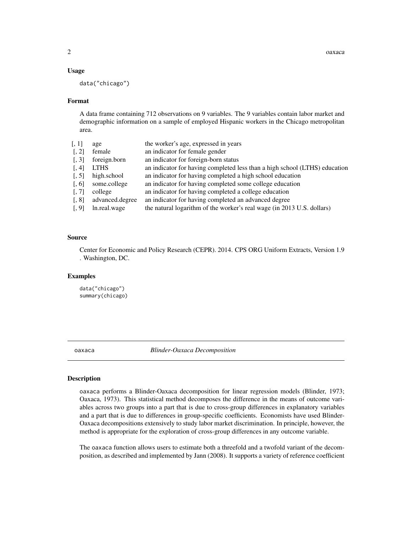#### <span id="page-1-0"></span>Usage

data("chicago")

#### Format

A data frame containing 712 observations on 9 variables. The 9 variables contain labor market and demographic information on a sample of employed Hispanic workers in the Chicago metropolitan area.

| [, 1]             | age             | the worker's age, expressed in years                                       |
|-------------------|-----------------|----------------------------------------------------------------------------|
| $\lceil, 2\rceil$ | female          | an indicator for female gender                                             |
| [, 3]             | foreign.born    | an indicator for foreign-born status                                       |
| [, 4]             | <b>LTHS</b>     | an indicator for having completed less than a high school (LTHS) education |
| [, 5]             | high.school     | an indicator for having completed a high school education                  |
| [0, 6]            | some.college    | an indicator for having completed some college education                   |
| [, 7]             | college         | an indicator for having completed a college education                      |
| [, 8]             | advanced.degree | an indicator for having completed an advanced degree                       |
| [0, 9]            | ln.real.wage    | the natural logarithm of the worker's real wage (in 2013 U.S. dollars)     |
|                   |                 |                                                                            |

#### Source

Center for Economic and Policy Research (CEPR). 2014. CPS ORG Uniform Extracts, Version 1.9 . Washington, DC.

#### Examples

data("chicago") summary(chicago)

<span id="page-1-1"></span>oaxaca *Blinder-Oaxaca Decomposition*

#### **Description**

oaxaca performs a Blinder-Oaxaca decomposition for linear regression models (Blinder, 1973; Oaxaca, 1973). This statistical method decomposes the difference in the means of outcome variables across two groups into a part that is due to cross-group differences in explanatory variables and a part that is due to differences in group-specific coefficients. Economists have used Blinder-Oaxaca decompositions extensively to study labor market discrimination. In principle, however, the method is appropriate for the exploration of cross-group differences in any outcome variable.

The oaxaca function allows users to estimate both a threefold and a twofold variant of the decomposition, as described and implemented by Jann (2008). It supports a variety of reference coefficient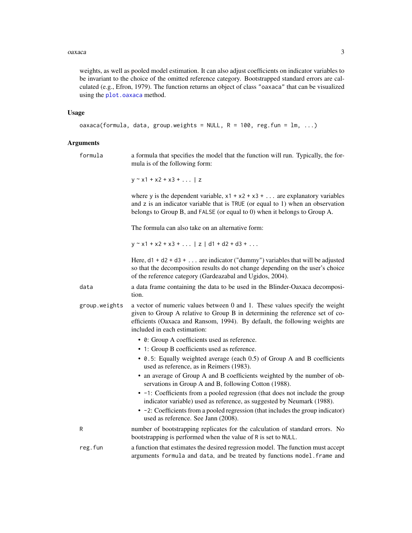#### <span id="page-2-0"></span>oaxaca 3

weights, as well as pooled model estimation. It can also adjust coefficients on indicator variables to be invariant to the choice of the omitted reference category. Bootstrapped standard errors are calculated (e.g., Efron, 1979). The function returns an object of class "oaxaca" that can be visualized using the [plot.oaxaca](#page-6-1) method.

#### Usage

```
oaxaca(formula, data, group.weights = NULL, R = 100, reg.fun = lm, ...)
```
#### Arguments

| Arguments     |                                                                                                                                                                                                                                                                                  |
|---------------|----------------------------------------------------------------------------------------------------------------------------------------------------------------------------------------------------------------------------------------------------------------------------------|
| formula       | a formula that specifies the model that the function will run. Typically, the for-<br>mula is of the following form:                                                                                                                                                             |
|               | $y \sim x1 + x2 + x3 + $   z                                                                                                                                                                                                                                                     |
|               | where y is the dependent variable, $x1 + x2 + x3 + $ are explanatory variables<br>and $z$ is an indicator variable that is TRUE (or equal to 1) when an observation<br>belongs to Group B, and FALSE (or equal to 0) when it belongs to Group A.                                 |
|               | The formula can also take on an alternative form:                                                                                                                                                                                                                                |
|               | $y \sim x1 + x2 + x3 + $   z   d1 + d2 + d3 +                                                                                                                                                                                                                                    |
|               | Here, $d1 + d2 + d3 + $ are indicator ("dummy") variables that will be adjusted<br>so that the decomposition results do not change depending on the user's choice<br>of the reference category (Gardeazabal and Ugidos, 2004).                                                   |
| data          | a data frame containing the data to be used in the Blinder-Oaxaca decomposi-<br>tion.                                                                                                                                                                                            |
| group.weights | a vector of numeric values between 0 and 1. These values specify the weight<br>given to Group A relative to Group B in determining the reference set of co-<br>efficients (Oaxaca and Ransom, 1994). By default, the following weights are<br>included in each estimation:       |
|               | • 0: Group A coefficients used as reference.<br>• 1: Group B coefficients used as reference.                                                                                                                                                                                     |
|               | • 0.5: Equally weighted average (each 0.5) of Group A and B coefficients<br>used as reference, as in Reimers (1983).                                                                                                                                                             |
|               | • an average of Group A and B coefficients weighted by the number of ob-<br>servations in Group A and B, following Cotton (1988).                                                                                                                                                |
|               | • -1: Coefficients from a pooled regression (that does not include the group<br>indicator variable) used as reference, as suggested by Neumark (1988).<br>• -2: Coefficients from a pooled regression (that includes the group indicator)<br>used as reference. See Jann (2008). |
| R             | number of bootstrapping replicates for the calculation of standard errors. No<br>bootstrapping is performed when the value of R is set to NULL.                                                                                                                                  |
| reg.fun       | a function that estimates the desired regression model. The function must accept<br>arguments formula and data, and be treated by functions model. frame and                                                                                                                     |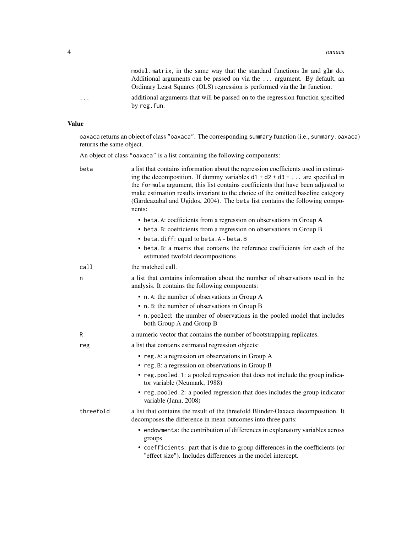model.matrix, in the same way that the standard functions lm and glm do. Additional arguments can be passed on via the ... argument. By default, an Ordinary Least Squares (OLS) regression is performed via the lm function.

... additional arguments that will be passed on to the regression function specified by reg.fun.

#### Value

oaxaca returns an object of class "oaxaca". The corresponding summary function (i.e., summary.oaxaca) returns the same object.

An object of class "oaxaca" is a list containing the following components:

| beta      | a list that contains information about the regression coefficients used in estimat-<br>ing the decomposition. If dummy variables $d1 + d2 + d3 + $ are specified in<br>the formula argument, this list contains coefficients that have been adjusted to<br>make estimation results invariant to the choice of the omitted baseline category<br>(Gardeazabal and Ugidos, 2004). The beta list contains the following compo-<br>nents: |
|-----------|--------------------------------------------------------------------------------------------------------------------------------------------------------------------------------------------------------------------------------------------------------------------------------------------------------------------------------------------------------------------------------------------------------------------------------------|
|           | • beta. A: coefficients from a regression on observations in Group A<br>• beta.B: coefficients from a regression on observations in Group B<br>• beta.diff: equal to beta.A - beta.B                                                                                                                                                                                                                                                 |
|           | • beta.B: a matrix that contains the reference coefficients for each of the<br>estimated twofold decompositions                                                                                                                                                                                                                                                                                                                      |
| call      | the matched call.                                                                                                                                                                                                                                                                                                                                                                                                                    |
| n         | a list that contains information about the number of observations used in the<br>analysis. It contains the following components:                                                                                                                                                                                                                                                                                                     |
|           | • n.A: the number of observations in Group A                                                                                                                                                                                                                                                                                                                                                                                         |
|           | • n.B: the number of observations in Group B                                                                                                                                                                                                                                                                                                                                                                                         |
|           | • n.pooled: the number of observations in the pooled model that includes<br>both Group A and Group B                                                                                                                                                                                                                                                                                                                                 |
| R         | a numeric vector that contains the number of bootstrapping replicates.                                                                                                                                                                                                                                                                                                                                                               |
| reg       | a list that contains estimated regression objects:                                                                                                                                                                                                                                                                                                                                                                                   |
|           | • reg. A: a regression on observations in Group A                                                                                                                                                                                                                                                                                                                                                                                    |
|           | • reg. B: a regression on observations in Group B                                                                                                                                                                                                                                                                                                                                                                                    |
|           | • reg.pooled.1: a pooled regression that does not include the group indica-<br>tor variable (Neumark, 1988)                                                                                                                                                                                                                                                                                                                          |
|           | • reg. pooled. 2: a pooled regression that does includes the group indicator<br>variable (Jann, 2008)                                                                                                                                                                                                                                                                                                                                |
| threefold | a list that contains the result of the threefold Blinder-Oaxaca decomposition. It<br>decomposes the difference in mean outcomes into three parts:                                                                                                                                                                                                                                                                                    |
|           | • endowments: the contribution of differences in explanatory variables across<br>groups.                                                                                                                                                                                                                                                                                                                                             |
|           | • coefficients: part that is due to group differences in the coefficients (or<br>"effect size"). Includes differences in the model intercept.                                                                                                                                                                                                                                                                                        |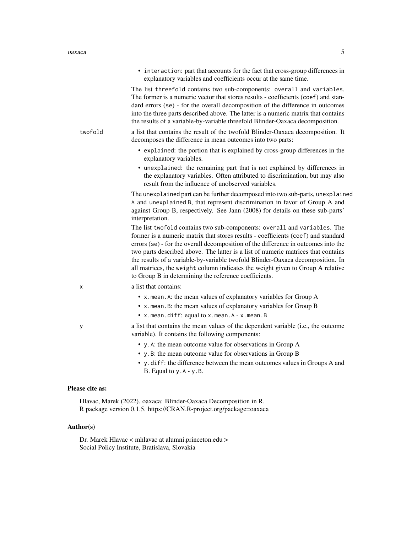• interaction: part that accounts for the fact that cross-group differences in explanatory variables and coefficients occur at the same time. The list threefold contains two sub-components: overall and variables. The former is a numeric vector that stores results - coefficients (coef) and standard errors (se) - for the overall decomposition of the difference in outcomes into the three parts described above. The latter is a numeric matrix that contains the results of a variable-by-variable threefold Blinder-Oaxaca decomposition. twofold a list that contains the result of the twofold Blinder-Oaxaca decomposition. It decomposes the difference in mean outcomes into two parts: • explained: the portion that is explained by cross-group differences in the explanatory variables. • unexplained: the remaining part that is not explained by differences in the explanatory variables. Often attributed to discrimination, but may also result from the influence of unobserved variables. The unexplained part can be further decomposed into two sub-parts, unexplained A and unexplained B, that represent discrimination in favor of Group A and against Group B, respectively. See Jann (2008) for details on these sub-parts' interpretation. The list twofold contains two sub-components: overall and variables. The former is a numeric matrix that stores results - coefficients (coef) and standard errors (se) - for the overall decomposition of the difference in outcomes into the two parts described above. The latter is a list of numeric matrices that contains the results of a variable-by-variable twofold Blinder-Oaxaca decomposition. In all matrices, the weight column indicates the weight given to Group A relative to Group B in determining the reference coefficients. x a list that contains: • x.mean.A: the mean values of explanatory variables for Group A • x.mean.B: the mean values of explanatory variables for Group B • x.mean.diff: equal to x.mean.A - x.mean.B y a list that contains the mean values of the dependent variable (i.e., the outcome variable). It contains the following components: • y.A: the mean outcome value for observations in Group A • y.B: the mean outcome value for observations in Group B • y.diff: the difference between the mean outcomes values in Groups A and B. Equal to  $y.A - y.B$ . Please cite as:

Hlavac, Marek (2022). oaxaca: Blinder-Oaxaca Decomposition in R. R package version 0.1.5. https://CRAN.R-project.org/package=oaxaca

#### Author(s)

Dr. Marek Hlavac < mhlavac at alumni.princeton.edu > Social Policy Institute, Bratislava, Slovakia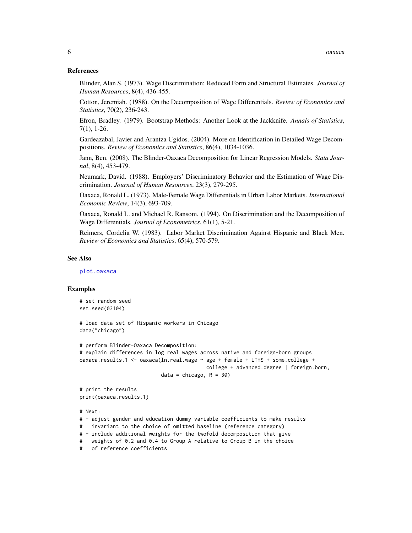#### <span id="page-5-0"></span>References

Blinder, Alan S. (1973). Wage Discrimination: Reduced Form and Structural Estimates. *Journal of Human Resources*, 8(4), 436-455.

Cotton, Jeremiah. (1988). On the Decomposition of Wage Differentials. *Review of Economics and Statistics*, 70(2), 236-243.

Efron, Bradley. (1979). Bootstrap Methods: Another Look at the Jackknife. *Annals of Statistics*, 7(1), 1-26.

Gardeazabal, Javier and Arantza Ugidos. (2004). More on Identification in Detailed Wage Decompositions. *Review of Economics and Statistics*, 86(4), 1034-1036.

Jann, Ben. (2008). The Blinder-Oaxaca Decomposition for Linear Regression Models. *Stata Journal*, 8(4), 453-479.

Neumark, David. (1988). Employers' Discriminatory Behavior and the Estimation of Wage Discrimination. *Journal of Human Resources*, 23(3), 279-295.

Oaxaca, Ronald L. (1973). Male-Female Wage Differentials in Urban Labor Markets. *International Economic Review*, 14(3), 693-709.

Oaxaca, Ronald L. and Michael R. Ransom. (1994). On Discrimination and the Decomposition of Wage Differentials. *Journal of Econometrics*, 61(1), 5-21.

Reimers, Cordelia W. (1983). Labor Market Discrimination Against Hispanic and Black Men. *Review of Economics and Statistics*, 65(4), 570-579.

#### See Also

[plot.oaxaca](#page-6-1)

#### Examples

```
# set random seed
set.seed(03104)
```
# load data set of Hispanic workers in Chicago data("chicago")

```
# perform Blinder-Oaxaca Decomposition:
# explain differences in log real wages across native and foreign-born groups
oaxaca.results.1 <- oaxaca(ln.real.wage ~ age + female + LTHS + some.college +
                                         college + advanced.degree | foreign.born,
                           data = chicago, R = 30)
```
# print the results print(oaxaca.results.1)

# Next:

```
# - adjust gender and education dummy variable coefficients to make results
```
# invariant to the choice of omitted baseline (reference category)

# - include additional weights for the twofold decomposition that give

# weights of 0.2 and 0.4 to Group A relative to Group B in the choice

```
# of reference coefficients
```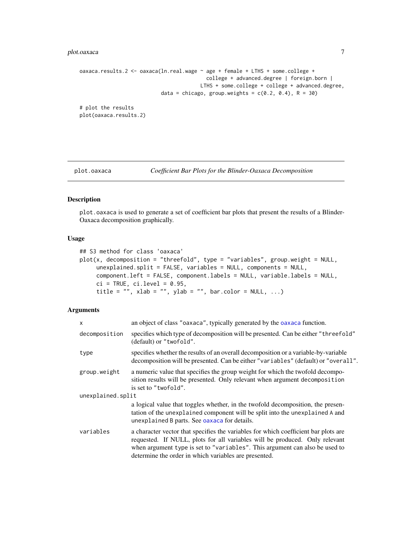#### <span id="page-6-0"></span>plot.oaxaca 7

```
oaxaca.results.2 <- oaxaca(ln.real.wage ~ age + female + LTHS + some.college +
                                          college + advanced.degree | foreign.born |
                                        LTHS + some.college + college + advanced.degree,
                           data = chicago, group.weights = c(0.2, 0.4), R = 30)
# plot the results
plot(oaxaca.results.2)
```
<span id="page-6-1"></span>

plot.oaxaca *Coefficient Bar Plots for the Blinder-Oaxaca Decomposition*

#### Description

plot.oaxaca is used to generate a set of coefficient bar plots that present the results of a Blinder-Oaxaca decomposition graphically.

#### Usage

```
## S3 method for class 'oaxaca'
plot(x, decomposition = "threshold", type = "variables", group.weight = NULL,unexplained.split = FALSE, variables = NULL, components = NULL,
    component.left = FALSE, component.labels = NULL, variable.labels = NULL,
    ci = TRUE, ci.level = 0.95,title = "", xlab = "", ylab = "", bar.color = NULL, ...)
```
#### Arguments

| $\mathsf{x}$      | an object of class "oaxaca", typically generated by the oaxaca function.                                                                                                                                                                                                                                   |
|-------------------|------------------------------------------------------------------------------------------------------------------------------------------------------------------------------------------------------------------------------------------------------------------------------------------------------------|
| decomposition     | specifies which type of decomposition will be presented. Can be either "threefold"<br>(default) or "twofold".                                                                                                                                                                                              |
| type              | specifies whether the results of an overall decomposition or a variable-by-variable<br>decomposition will be presented. Can be either "variables" (default) or "overall".                                                                                                                                  |
| group.weight      | a numeric value that specifies the group weight for which the twofold decompo-<br>sition results will be presented. Only relevant when argument decomposition<br>is set to "twofold".                                                                                                                      |
| unexplained.split |                                                                                                                                                                                                                                                                                                            |
|                   | a logical value that toggles whether, in the twofold decomposition, the presen-<br>tation of the unexplained component will be split into the unexplained A and<br>unexplained B parts. See oaxaca for details.                                                                                            |
| variables         | a character vector that specifies the variables for which coefficient bar plots are<br>requested. If NULL, plots for all variables will be produced. Only relevant<br>when argument type is set to "variables". This argument can also be used to<br>determine the order in which variables are presented. |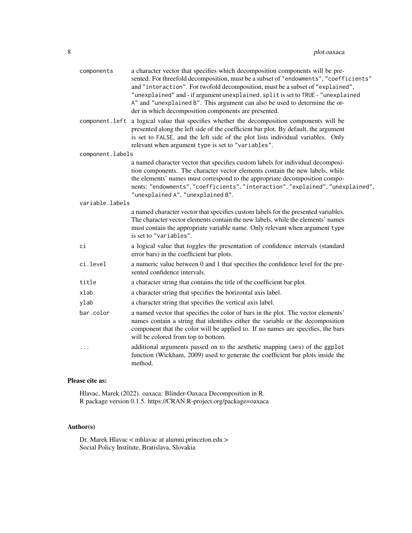| components<br>component.left | a character vector that specifies which decomposition components will be pre-<br>sented. For threefold decomposition, must be a subset of "endowments", "coefficients"<br>and "interaction". For twofold decomposition, must be a subset of "explained",<br>"unexplained" and - if argument unexplained. split is set to TRUE - "unexplained<br>A" and "unexplained B". This argument can also be used to determine the or-<br>der in which decomposition components are presented.<br>a logical value that specifies whether the decomposition components will be |
|------------------------------|--------------------------------------------------------------------------------------------------------------------------------------------------------------------------------------------------------------------------------------------------------------------------------------------------------------------------------------------------------------------------------------------------------------------------------------------------------------------------------------------------------------------------------------------------------------------|
|                              | presented along the left side of the coefficient bar plot. By default, the argument<br>is set to FALSE, and the left side of the plot lists individual variables. Only<br>relevant when argument type is set to "variables".                                                                                                                                                                                                                                                                                                                                       |
| component.labels             |                                                                                                                                                                                                                                                                                                                                                                                                                                                                                                                                                                    |
|                              | a named character vector that specifies custom labels for individual decomposi-<br>tion components. The character vector elements contain the new labels, while<br>the elements' names must correspond to the appropriate decomposition compo-<br>nents: "endowments", "coefficients", "interaction", "explained", "unexplained",<br>"unexplained A", "unexplained B".                                                                                                                                                                                             |
| variable.labels              |                                                                                                                                                                                                                                                                                                                                                                                                                                                                                                                                                                    |
|                              | a named character vector that specifies custom labels for the presented variables.<br>The character vector elements contain the new labels, while the elements' names<br>must contain the appropriate variable name. Only relevant when argument type<br>is set to "variables".                                                                                                                                                                                                                                                                                    |
| ci                           | a logical value that toggles the presentation of confidence intervals (standard<br>error bars) in the coefficient bar plots.                                                                                                                                                                                                                                                                                                                                                                                                                                       |
| ci.level                     | a numeric value between 0 and 1 that specifies the confidence level for the pre-<br>sented confidence intervals.                                                                                                                                                                                                                                                                                                                                                                                                                                                   |
| title                        | a character string that contains the title of the coefficient bar plot.                                                                                                                                                                                                                                                                                                                                                                                                                                                                                            |
| xlab                         | a character string that specifies the horizontal axis label.                                                                                                                                                                                                                                                                                                                                                                                                                                                                                                       |
| ylab                         | a character string that specifies the vertical axis label.                                                                                                                                                                                                                                                                                                                                                                                                                                                                                                         |
| bar.color                    | a named vector that specifies the color of bars in the plot. The vector elements'<br>names contain a string that identifies either the variable or the decomposition<br>component that the color will be applied to. If no names are specifies, the bars<br>will be colored from top to bottom.                                                                                                                                                                                                                                                                    |
| $\cdots$                     | additional arguments passed on to the aesthetic mapping (aes) of the ggplot<br>function (Wickham, 2009) used to generate the coefficient bar plots inside the<br>method.                                                                                                                                                                                                                                                                                                                                                                                           |

#### Please cite as:

Hlavac, Marek (2022). oaxaca: Blinder-Oaxaca Decomposition in R. R package version 0.1.5. https://CRAN.R-project.org/package=oaxaca

### Author(s)

Dr. Marek Hlavac < mhlavac at alumni.princeton.edu > Social Policy Institute, Bratislava, Slovakia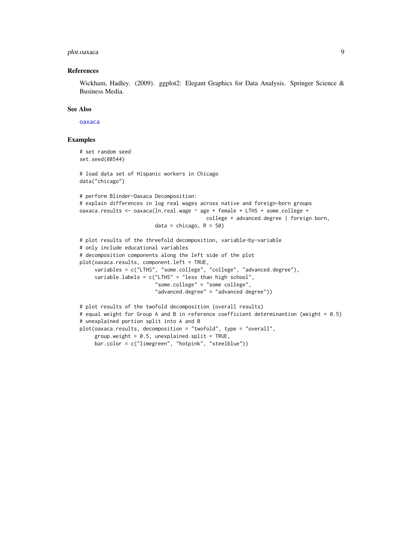#### <span id="page-8-0"></span>plot.oaxaca 9

#### References

Wickham, Hadley. (2009). ggplot2: Elegant Graphics for Data Analysis. Springer Science & Business Media.

#### See Also

[oaxaca](#page-1-1)

#### Examples

```
# set random seed
set.seed(08544)
# load data set of Hispanic workers in Chicago
data("chicago")
# perform Blinder-Oaxaca Decomposition:
# explain differences in log real wages across native and foreign-born groups
oaxaca.results <- oaxaca(ln.real.wage ~ age + female + LTHS + some.college +
                                          college + advanced.degree | foreign.born,
                         data = chicago, R = 50)
# plot results of the threefold decomposition, variable-by-variable
# only include educational variables
# decomposition components along the left side of the plot
plot(oaxaca.results, component.left = TRUE,
     variables = c("LTHS", "some.college", "college", "advanced.degree"),
     variable.labels = c("LTHS" = "less than high school","some.college" = "some college",
                         "advanced.degree" = "advanced degree"))
# plot results of the twofold decomposition (overall results)
# equal weight for Group A and B in reference coefficient determinantion (weight = 0.5)
# unexplained portion split into A and B
plot(oaxaca.results, decomposition = "twofold", type = "overall",
     group.weight = 0.5, unexplained.split = TRUE,
     bar.color = c("limegreen", "hotpink", "steelblue"))
```